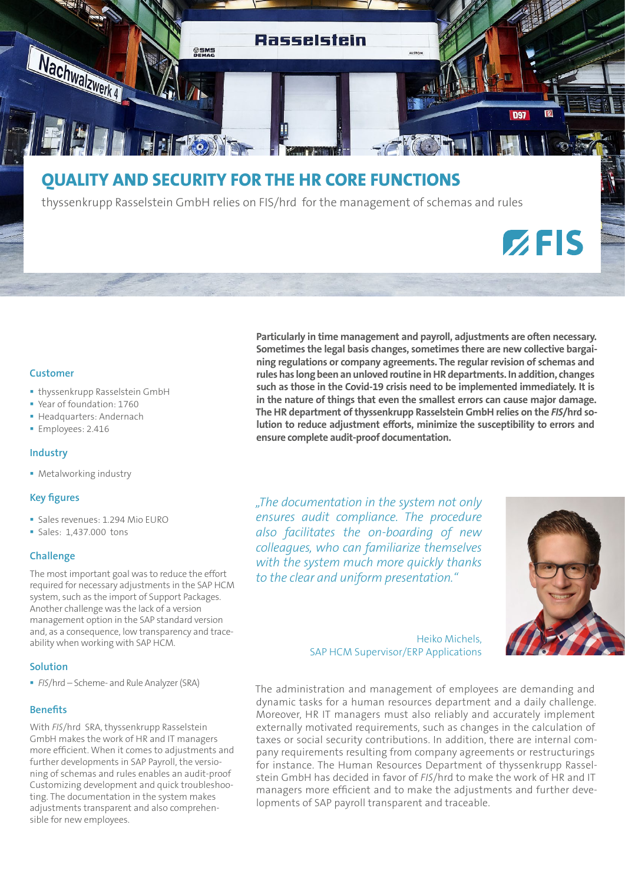

# **QUALITY AND SECURITY FOR THE HR CORE FUNCTIONS**

thyssenkrupp Rasselstein GmbH relies on FIS/hrd for the management of schemas and rules

# $Z$ FIS

#### **Customer**

- **· thyssenkrupp Rasselstein GmbH**
- Year of foundation: 1760
- **Headquarters: Andernach**
- **Employees: 2.416**

#### **Industry**

**• Metalworking industry** 

# **Key figures**

- Sales revenues: 1.294 Mio EURO
- Sales: 1,437.000 tons

#### **Challenge**

The most important goal was to reduce the effort required for necessary adjustments in the SAP HCM system, such as the import of Support Packages. Another challenge was the lack of a version management option in the SAP standard version and, as a consequence, low transparency and traceability when working with SAP HCM.

#### **Solution**

*FIS*/hrd – Scheme- and Rule Analyzer (SRA)

#### **Benefits**

With *FIS*/hrd SRA, thyssenkrupp Rasselstein GmbH makes the work of HR and IT managers more efficient. When it comes to adjustments and further developments in SAP Payroll, the versioning of schemas and rules enables an audit-proof Customizing development and quick troubleshooting. The documentation in the system makes adjustments transparent and also comprehensible for new employees.

**Particularly in time management and payroll, adjustments are often necessary. Sometimes the legal basis changes, sometimes there are new collective bargaining regulations or company agreements. The regular revision of schemas and rules has long been an unloved routine in HR departments. In addition, changes such as those in the Covid-19 crisis need to be implemented immediately. It is in the nature of things that even the smallest errors can cause major damage. The HR department of thyssenkrupp Rasselstein GmbH relies on the** *FIS***/hrd solution to reduce adjustment efforts, minimize the susceptibility to errors and ensure complete audit-proof documentation.**

*"The documentation in the system not only ensures audit compliance. The procedure also facilitates the on-boarding of new colleagues, who can familiarize themselves with the system much more quickly thanks to the clear and uniform presentation."*



Heiko Michels, SAP HCM Supervisor/ERP Applications

The administration and management of employees are demanding and dynamic tasks for a human resources department and a daily challenge. Moreover, HR IT managers must also reliably and accurately implement externally motivated requirements, such as changes in the calculation of taxes or social security contributions. In addition, there are internal company requirements resulting from company agreements or restructurings for instance. The Human Resources Department of thyssenkrupp Rasselstein GmbH has decided in favor of *FIS*/hrd to make the work of HR and IT managers more efficient and to make the adjustments and further developments of SAP payroll transparent and traceable.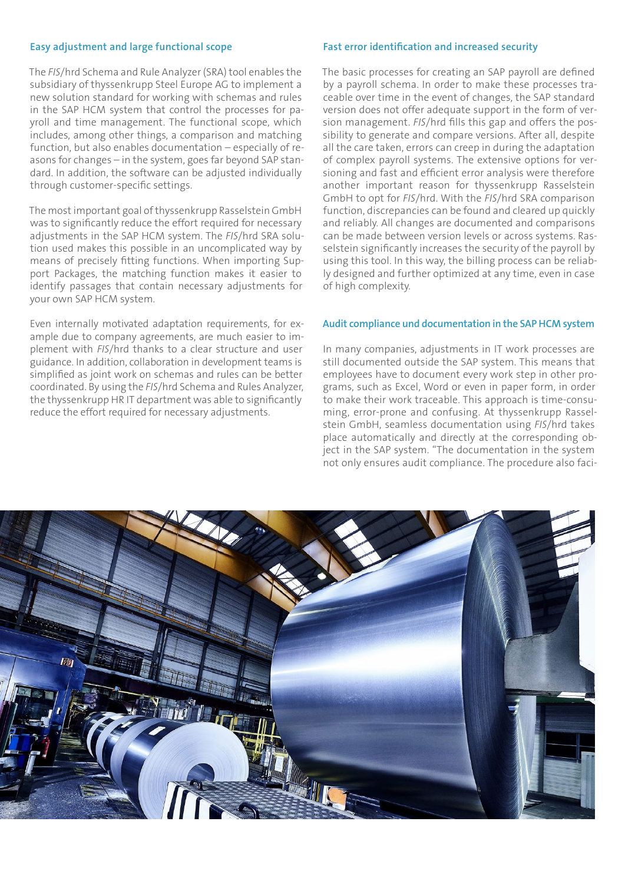#### **Easy adjustment and large functional scope**

The *FIS*/hrd Schema and Rule Analyzer (SRA) tool enables the subsidiary of thyssenkrupp Steel Europe AG to implement a new solution standard for working with schemas and rules in the SAP HCM system that control the processes for payroll and time management. The functional scope, which includes, among other things, a comparison and matching function, but also enables documentation – especially of reasons for changes – in the system, goes far beyond SAP standard. In addition, the software can be adjusted individually through customer-specific settings.

The most important goal of thyssenkrupp Rasselstein GmbH was to significantly reduce the effort required for necessary adjustments in the SAP HCM system. The *FIS*/hrd SRA solution used makes this possible in an uncomplicated way by means of precisely fitting functions. When importing Support Packages, the matching function makes it easier to identify passages that contain necessary adjustments for your own SAP HCM system.

Even internally motivated adaptation requirements, for example due to company agreements, are much easier to implement with *FIS*/hrd thanks to a clear structure and user guidance. In addition, collaboration in development teams is simplified as joint work on schemas and rules can be better coordinated. By using the *FIS*/hrd Schema and Rules Analyzer, the thyssenkrupp HR IT department was able to significantly reduce the effort required for necessary adjustments.

#### **Fast error identification and increased security**

The basic processes for creating an SAP payroll are defined by a payroll schema. In order to make these processes traceable over time in the event of changes, the SAP standard version does not offer adequate support in the form of version management. *FIS*/hrd fills this gap and offers the possibility to generate and compare versions. After all, despite all the care taken, errors can creep in during the adaptation of complex payroll systems. The extensive options for versioning and fast and efficient error analysis were therefore another important reason for thyssenkrupp Rasselstein GmbH to opt for *FIS*/hrd. With the *FIS*/hrd SRA comparison function, discrepancies can be found and cleared up quickly and reliably. All changes are documented and comparisons can be made between version levels or across systems. Rasselstein significantly increases the security of the payroll by using this tool. In this way, the billing process can be reliably designed and further optimized at any time, even in case of high complexity.

#### **Audit compliance und documentation in the SAP HCM system**

In many companies, adjustments in IT work processes are still documented outside the SAP system. This means that employees have to document every work step in other programs, such as Excel, Word or even in paper form, in order to make their work traceable. This approach is time-consuming, error-prone and confusing. At thyssenkrupp Rasselstein GmbH, seamless documentation using *FIS*/hrd takes place automatically and directly at the corresponding object in the SAP system. "The documentation in the system not only ensures audit compliance. The procedure also faci-